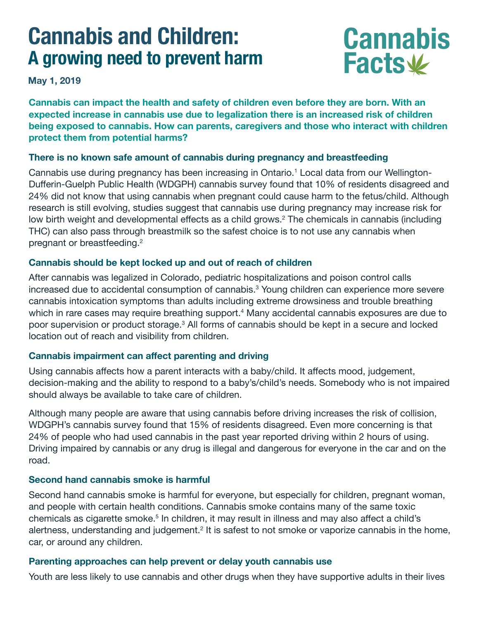# **Cannabis and Children: A growing need to prevent harm**

**May 1, 2019**

**Cannabis can impact the health and safety of children even before they are born. With an expected increase in cannabis use due to legalization there is an increased risk of children being exposed to cannabis. How can parents, caregivers and those who interact with children protect them from potential harms?**

**Cannabis**

**Facts**

#### **There is no known safe amount of cannabis during pregnancy and breastfeeding**

Cannabis use during pregnancy has been increasing in Ontario.<sup>1</sup> Local data from our Wellington-Dufferin-Guelph Public Health (WDGPH) cannabis survey found that 10% of residents disagreed and 24% did not know that using cannabis when pregnant could cause harm to the fetus/child. Although research is still evolving, studies suggest that cannabis use during pregnancy may increase risk for low birth weight and developmental effects as a child grows.<sup>2</sup> The chemicals in cannabis (including THC) can also pass through breastmilk so the safest choice is to not use any cannabis when pregnant or breastfeeding.2

### **Cannabis should be kept locked up and out of reach of children**

After cannabis was legalized in Colorado, pediatric hospitalizations and poison control calls increased due to accidental consumption of cannabis.3 Young children can experience more severe cannabis intoxication symptoms than adults including extreme drowsiness and trouble breathing which in rare cases may require breathing support. $^{\rm 4}$  Many accidental cannabis exposures are due to poor supervision or product storage.<sup>3</sup> All forms of cannabis should be kept in a secure and locked location out of reach and visibility from children.

#### **Cannabis impairment can affect parenting and driving**

Using cannabis affects how a parent interacts with a baby/child. It affects mood, judgement, decision-making and the ability to respond to a baby's/child's needs. Somebody who is not impaired should always be available to take care of children.

Although many people are aware that using cannabis before driving increases the risk of collision, WDGPH's cannabis survey found that 15% of residents disagreed. Even more concerning is that 24% of people who had used cannabis in the past year reported driving within 2 hours of using. Driving impaired by cannabis or any drug is illegal and dangerous for everyone in the car and on the road.

#### **Second hand cannabis smoke is harmful**

Second hand cannabis smoke is harmful for everyone, but especially for children, pregnant woman, and people with certain health conditions. Cannabis smoke contains many of the same toxic chemicals as cigarette smoke.<sup>5</sup> In children, it may result in illness and may also affect a child's alertness, understanding and judgement.<sup>2</sup> It is safest to not smoke or vaporize cannabis in the home, car, or around any children.

#### **Parenting approaches can help prevent or delay youth cannabis use**

Youth are less likely to use cannabis and other drugs when they have supportive adults in their lives